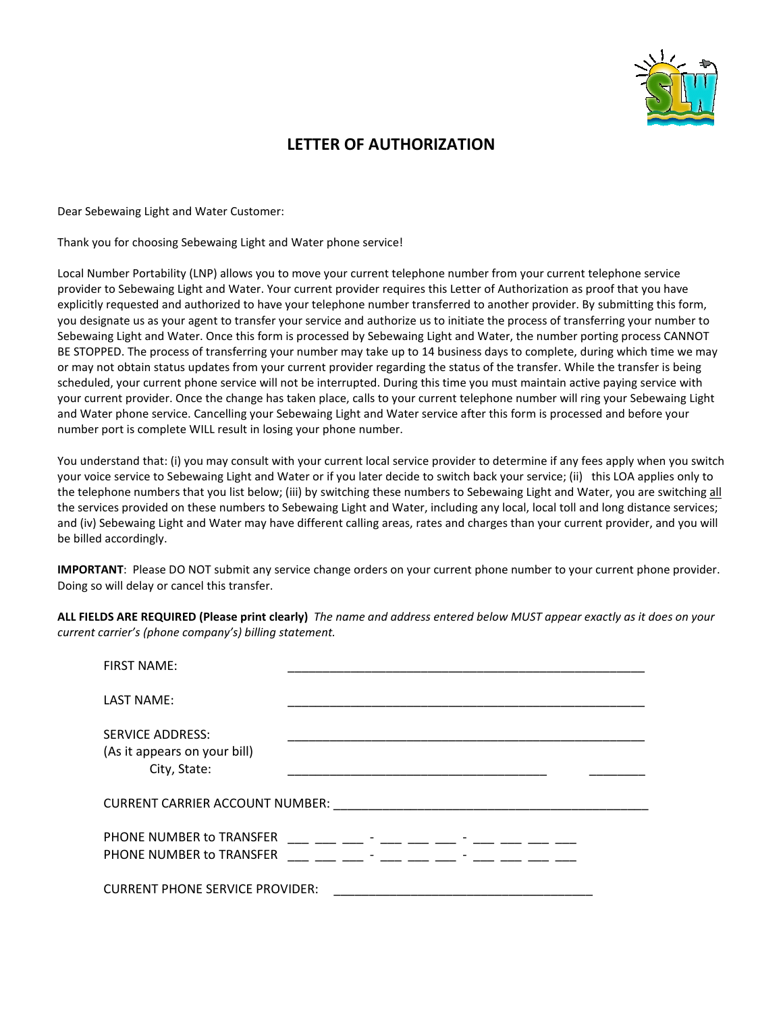

## LETTER OF AUTHORIZATION

Dear Sebewaing Light and Water Customer:

Thank you for choosing Sebewaing Light and Water phone service!

Local Number Portability (LNP) allows you to move your current telephone number from your current telephone service provider to Sebewaing Light and Water. Your current provider requires this Letter of Authorization as proof that you have explicitly requested and authorized to have your telephone number transferred to another provider. By submitting this form, you designate us as your agent to transfer your service and authorize us to initiate the process of transferring your number to Sebewaing Light and Water. Once this form is processed by Sebewaing Light and Water, the number porting process CANNOT BE STOPPED. The process of transferring your number may take up to 14 business days to complete, during which time we may or may not obtain status updates from your current provider regarding the status of the transfer. While the transfer is being scheduled, your current phone service will not be interrupted. During this time you must maintain active paying service with your current provider. Once the change has taken place, calls to your current telephone number will ring your Sebewaing Light and Water phone service. Cancelling your Sebewaing Light and Water service after this form is processed and before your number port is complete WILL result in losing your phone number.

You understand that: (i) you may consult with your current local service provider to determine if any fees apply when you switch your voice service to Sebewaing Light and Water or if you later decide to switch back your service; (ii) this LOA applies only to the telephone numbers that you list below; (iii) by switching these numbers to Sebewaing Light and Water, you are switching all the services provided on these numbers to Sebewaing Light and Water, including any local, local toll and long distance services; and (iv) Sebewaing Light and Water may have different calling areas, rates and charges than your current provider, and you will be billed accordingly.

IMPORTANT: Please DO NOT submit any service change orders on your current phone number to your current phone provider. Doing so will delay or cancel this transfer.

ALL FIELDS ARE REQUIRED (Please print clearly) The name and address entered below MUST appear exactly as it does on your current carrier's (phone company's) billing statement.

| <b>FIRST NAME:</b>                                                      |                                             |
|-------------------------------------------------------------------------|---------------------------------------------|
| <b>LAST NAME:</b>                                                       |                                             |
| <b>SERVICE ADDRESS:</b><br>(As it appears on your bill)<br>City, State: |                                             |
| CURRENT CARRIER ACCOUNT NUMBER:                                         |                                             |
| PHONE NUMBER to TRANSFER<br>PHONE NUMBER to TRANSFER                    | and the state of the state and the state of |
| <b>CURRENT PHONE SERVICE PROVIDER:</b>                                  |                                             |